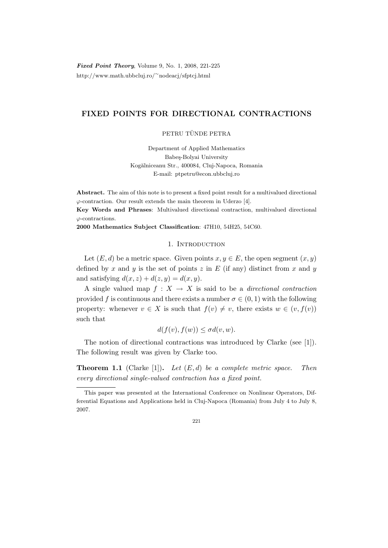Fixed Point Theory, Volume 9, No. 1, 2008, 221-225 http://www.math.ubbcluj.ro/<sup>∼</sup>nodeacj/sfptcj.html

# FIXED POINTS FOR DIRECTIONAL CONTRACTIONS

## PETRU TÜNDE PETRA

Department of Applied Mathematics Babeş-Bolyai University Kogălniceanu Str., 400084, Cluj-Napoca, Romania E-mail: ptpetru@econ.ubbcluj.ro

Abstract. The aim of this note is to present a fixed point result for a multivalued directional  $\varphi$ -contraction. Our result extends the main theorem in Uderzo [4].

Key Words and Phrases: Multivalued directional contraction, multivalued directional  $\varphi$ -contractions.

2000 Mathematics Subject Classification: 47H10, 54H25, 54C60.

#### 1. INTRODUCTION

Let  $(E, d)$  be a metric space. Given points  $x, y \in E$ , the open segment  $(x, y)$ defined by x and y is the set of points z in  $E$  (if any) distinct from x and y and satisfying  $d(x, z) + d(z, y) = d(x, y)$ .

A single valued map  $f : X \to X$  is said to be a *directional contraction* provided f is continuous and there exists a number  $\sigma \in (0,1)$  with the following property: whenever  $v \in X$  is such that  $f(v) \neq v$ , there exists  $w \in (v, f(v))$ such that

$$
d(f(v), f(w)) \le \sigma d(v, w).
$$

The notion of directional contractions was introduced by Clarke (see [1]). The following result was given by Clarke too.

**Theorem 1.1** (Clarke [1]). Let  $(E, d)$  be a complete metric space. Then every directional single-valued contraction has a fixed point.

This paper was presented at the International Conference on Nonlinear Operators, Differential Equations and Applications held in Cluj-Napoca (Romania) from July 4 to July 8, 2007.

<sup>221</sup>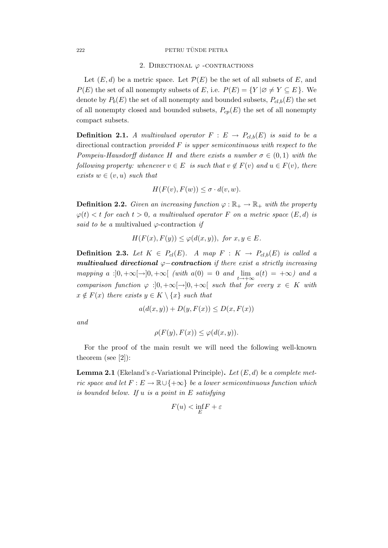#### 222 PETRU TÜNDE PETRA

#### 2. DIRECTIONAL  $\varphi$  -CONTRACTIONS

Let  $(E, d)$  be a metric space. Let  $\mathcal{P}(E)$  be the set of all subsets of E, and  $P(E)$  the set of all nonempty subsets of E, i.e.  $P(E) = \{Y | \emptyset \neq Y \subseteq E\}$ . We denote by  $P_b(E)$  the set of all nonempty and bounded subsets,  $P_{cl,b}(E)$  the set of all nonempty closed and bounded subsets,  $P_{cp}(E)$  the set of all nonempty compact subsets.

**Definition 2.1.** A multivalued operator  $F : E \to P_{cl,b}(E)$  is said to be a directional contraction provided  $F$  is upper semicontinuous with respect to the Pompeiu-Hausdorff distance H and there exists a number  $\sigma \in (0,1)$  with the following property: whenever  $v \in E$  is such that  $v \notin F(v)$  and  $u \in F(v)$ , there exists  $w \in (v, u)$  such that

$$
H(F(v), F(w)) \le \sigma \cdot d(v, w).
$$

**Definition 2.2.** Given an increasing function  $\varphi : \mathbb{R}_+ \to \mathbb{R}_+$  with the property  $\varphi(t) < t$  for each  $t > 0$ , a multivalued operator F on a metric space  $(E, d)$  is said to be a multivalued  $\varphi$ -contraction if

$$
H(F(x), F(y)) \le \varphi(d(x, y)), \text{ for } x, y \in E.
$$

**Definition 2.3.** Let  $K \in P_{cl}(E)$ . A map  $F : K \to P_{cl,b}(E)$  is called a multivalued directional  $\varphi$ -contraction if there exist a strictly increasing mapping a : $]0, +\infty[\rightarrow]0, +\infty[$  (with  $a(0) = 0$  and  $\lim_{t \to +\infty} a(t) = +\infty)$  and a comparison function  $\varphi : ]0, +\infty[ \to ]0, +\infty[$  such that for every  $x \in K$  with  $x \notin F(x)$  there exists  $y \in K \setminus \{x\}$  such that

$$
a(d(x, y)) + D(y, F(x)) \le D(x, F(x))
$$

and

$$
\rho(F(y), F(x)) \le \varphi(d(x, y)).
$$

For the proof of the main result we will need the following well-known theorem (see [2]):

**Lemma 2.1** (Ekeland's  $\varepsilon$ -Variational Principle). Let  $(E, d)$  be a complete metric space and let  $F : E \to \mathbb{R} \cup \{+\infty\}$  be a lower semicontinuous function which is bounded below. If u is a point in E satisfying

$$
F(u) < \inf_E F + \varepsilon
$$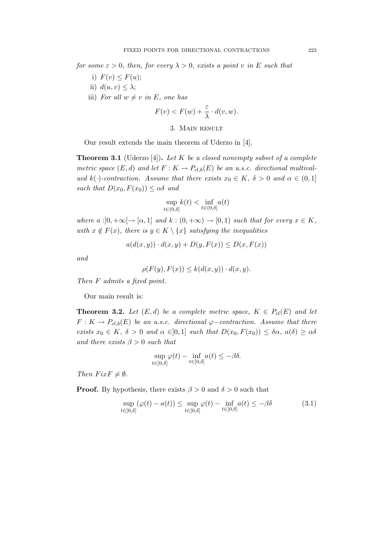for some  $\varepsilon > 0$ , then, for every  $\lambda > 0$ , exists a point v in E such that

- i)  $F(v) \leq F(u);$
- ii)  $d(u, v) \leq \lambda$ ;
- iii) For all  $w \neq v$  in E, one has

$$
F(v) < F(w) + \frac{\varepsilon}{\lambda} \cdot d(v, w).
$$

## 3. Main result

Our result extends the main theorem of Uderzo in [4].

**Theorem 3.1** (Uderzo [4]). Let K be a closed nonempty subset of a complete metric space  $(E, d)$  and let  $F: K \to P_{cl,b}(E)$  be an u.s.c. directional multivalued k(·)-contraction. Assume that there exists  $x_0 \in K$ ,  $\delta > 0$  and  $\alpha \in (0,1]$ such that  $D(x_0, F(x_0)) \leq \alpha \delta$  and

$$
\sup_{t \in (0,\delta]} k(t) < \inf_{t \in (0,\delta]} a(t)
$$

where  $a:]0, +\infty[\rightarrow [\alpha, 1]$  and  $k: (0, +\infty) \rightarrow [0, 1]$  such that for every  $x \in K$ , with  $x \notin F(x)$ , there is  $y \in K \setminus \{x\}$  satisfying the inequalities

$$
a(d(x,y)) \cdot d(x,y) + D(y, F(x)) \le D(x, F(x))
$$

and

$$
\rho(F(y), F(x)) \le k(d(x, y)) \cdot d(x, y).
$$

Then F admits a fixed point.

Our main result is:

**Theorem 3.2.** Let  $(E, d)$  be a complete metric space,  $K \in P_{cl}(E)$  and let  $F: K \to P_{cl,b}(E)$  be an u.s.c. directional  $\varphi$ -contraction. Assume that there exists  $x_0 \in K$ ,  $\delta > 0$  and  $\alpha \in ]0,1]$  such that  $D(x_0, F(x_0)) \leq \delta \alpha$ ,  $a(\delta) \geq \alpha \delta$ and there exists  $\beta > 0$  such that

$$
\sup_{t\in[0,\delta]} \varphi(t) - \inf_{t\in[0,\delta]} a(t) \leq -\beta\delta.
$$

Then  $Fix F \neq \emptyset$ .

**Proof.** By hypothesis, there exists  $\beta > 0$  and  $\delta > 0$  such that

$$
\sup_{t \in [0,\delta]} (\varphi(t) - a(t)) \le \sup_{t \in [0,\delta]} \varphi(t) - \inf_{t \in [0,\delta]} a(t) \le -\beta \delta \tag{3.1}
$$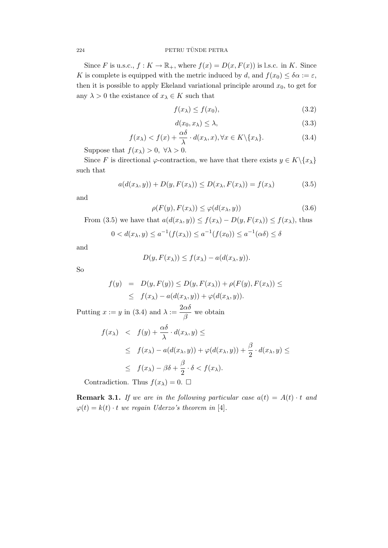## $224$  PETRU TÜNDE PETRA

Since F is u.s.c.,  $f: K \to \mathbb{R}_+$ , where  $f(x) = D(x, F(x))$  is l.s.c. in K. Since K is complete is equipped with the metric induced by d, and  $f(x_0) \leq \delta \alpha := \varepsilon$ , then it is possible to apply Ekeland variational principle around  $x_0$ , to get for any  $\lambda > 0$  the existance of  $x_{\lambda} \in K$  such that

$$
f(x_{\lambda}) \le f(x_0),\tag{3.2}
$$

$$
d(x_0, x_\lambda) \le \lambda,\tag{3.3}
$$

$$
f(x_{\lambda}) < f(x) + \frac{\alpha \delta}{\lambda} \cdot d(x_{\lambda}, x), \forall x \in K \setminus \{x_{\lambda}\}. \tag{3.4}
$$

Suppose that  $f(x_\lambda) > 0$ ,  $\forall \lambda > 0$ .

Since F is directional  $\varphi$ -contraction, we have that there exists  $y \in K \setminus \{x_\lambda\}$ such that

$$
a(d(x_{\lambda}, y)) + D(y, F(x_{\lambda})) \le D(x_{\lambda}, F(x_{\lambda})) = f(x_{\lambda})
$$
\n(3.5)

and

$$
\rho(F(y), F(x_{\lambda})) \le \varphi(d(x_{\lambda}, y)) \tag{3.6}
$$

From (3.5) we have that  $a(d(x_{\lambda}, y)) \le f(x_{\lambda}) - D(y, F(x_{\lambda})) \le f(x_{\lambda})$ , thus

$$
0 < d(x_{\lambda}, y) \le a^{-1}(f(x_{\lambda})) \le a^{-1}(f(x_0)) \le a^{-1}(\alpha \delta) \le \delta
$$

and

$$
D(y, F(x_{\lambda})) \le f(x_{\lambda}) - a(d(x_{\lambda}, y)).
$$

So

$$
f(y) = D(y, F(y)) \le D(y, F(x_{\lambda})) + \rho(F(y), F(x_{\lambda})) \le
$$
  
 
$$
\le f(x_{\lambda}) - a(d(x_{\lambda}, y)) + \varphi(d(x_{\lambda}, y)).
$$

Putting  $x := y$  in (3.4) and  $\lambda := \frac{2\alpha\delta}{\alpha}$  $\frac{\alpha}{\beta}$  we obtain

$$
f(x_{\lambda}) < f(y) + \frac{\alpha \delta}{\lambda} \cdot d(x_{\lambda}, y) \le
$$
  
\n
$$
\leq f(x_{\lambda}) - a(d(x_{\lambda}, y)) + \varphi(d(x_{\lambda}, y)) + \frac{\beta}{2} \cdot d(x_{\lambda}, y) \le
$$
  
\n
$$
\leq f(x_{\lambda}) - \beta \delta + \frac{\beta}{2} \cdot \delta < f(x_{\lambda}).
$$

Contradiction. Thus  $f(x_\lambda) = 0$ .  $\Box$ 

**Remark 3.1.** If we are in the following particular case  $a(t) = A(t) \cdot t$  and  $\varphi(t) = k(t) \cdot t$  we regain Uderzo's theorem in [4].